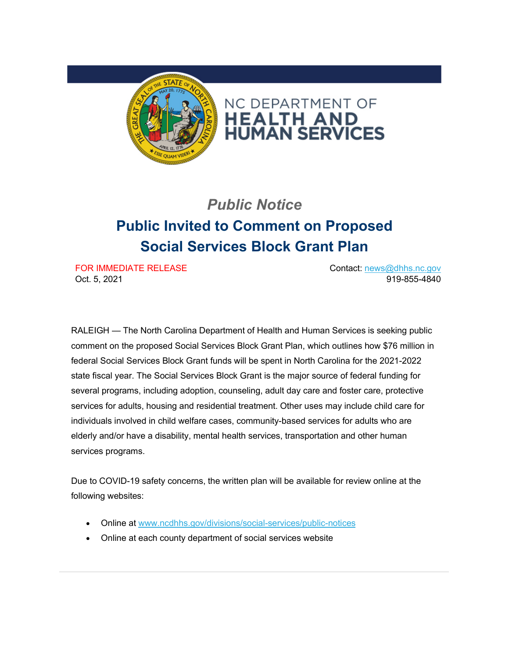

## *Public Notice* **Public Invited to Comment on Proposed Social Services Block Grant Plan**

FOR IMMEDIATE RELEASE Oct. 5, 2021

Contact: [news@dhhs.nc.gov](mailto:news@dhhs.nc.gov) 919-855-4840

RALEIGH — The North Carolina Department of Health and Human Services is seeking public comment on the proposed Social Services Block Grant Plan, which outlines how \$76 million in federal Social Services Block Grant funds will be spent in North Carolina for the 2021-2022 state fiscal year. The Social Services Block Grant is the major source of federal funding for several programs, including adoption, counseling, adult day care and foster care, protective services for adults, housing and residential treatment. Other uses may include child care for individuals involved in child welfare cases, community-based services for adults who are elderly and/or have a disability, mental health services, transportation and other human services programs.

Due to COVID-19 safety concerns, the written plan will be available for review online at the following websites:

- Online at [www.ncdhhs.gov/divisions/social-services/public-notices](https://urldefense.com/v3/__https:/ncdhhs.us4.list-manage.com/track/click?u=58ec19aaea4630b1baad0e5e4&id=b1c28856f1&e=4c35add6c5__;!!HYmSToo!PXKykfXJZ4vw1foicfi-wTLN2Hh-547N__Ytlw2YAk3abCW8xDYGBh9dfg00JJLIFBBPaIey$)
- Online at each county department of social services website